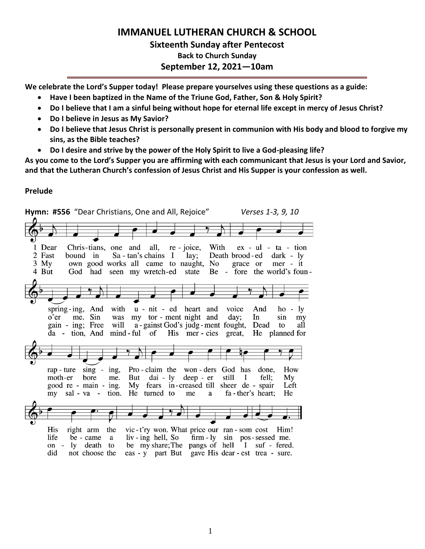# **IMMANUEL LUTHERAN CHURCH & SCHOOL Sixteenth Sunday after Pentecost Back to Church Sunday September 12, 2021—10am**

**We celebrate the Lord's Supper today! Please prepare yourselves using these questions as a guide:**

- **Have I been baptized in the Name of the Triune God, Father, Son & Holy Spirit?**
- **Do I believe that I am a sinful being without hope for eternal life except in mercy of Jesus Christ?**
- **Do I believe in Jesus as My Savior?**
- **Do I believe that Jesus Christ is personally present in communion with His body and blood to forgive my sins, as the Bible teaches?**
- **Do I desire and strive by the power of the Holy Spirit to live a God-pleasing life?**

**As you come to the Lord's Supper you are affirming with each communicant that Jesus is your Lord and Savior, and that the Lutheran Church's confession of Jesus Christ and His Supper is your confession as well.**

### **Prelude**

**Hymn: #556** "Dear Christians, One and All, Rejoice" *Verses 1-3, 9, 10*1 Dear Chris-tians, one and all, re - joice, With  $ex - ul - ta - tion$ 2 Fast bound in Sa - tan's chains I Death brood-ed  $dark - ly$ lay; 3 My own good works all came to naught, No grace or mer - it 4 But Be - fore the world's foun-God had seen my wretch-ed state spring-ing, And with u - nit - ed heart and voice And  $ho - ly$ o'er me. Sin was my tor - ment night and day; In sin my gain - ing; Free will a - gainst God's judg - ment fought, Dead to all tion. And mind-ful of His mer - cies great, He planned for da rap - ture  $\sin g$  -  $\sin g$ , Pro-claim the won-ders God has done, How moth-er bore me. But dai - ly deep - er still  $\mathbf{I}$ fell:  $Mv$ good re - main - ing. My fears in-creased till sheer de - spair Left tion. He turned to fa - ther's heart; He my sal - va me a right arm the vic-t'ry won. What price our ran-som cost Him! His life be - came a  $\hbox{liv}$  - ing hell, So  $\lim -\log \sin \theta$  pos-sessed me. on - ly death to be my share; The pangs of hell I suf - fered. did not choose the eas - y part But gave His dear - est trea - sure.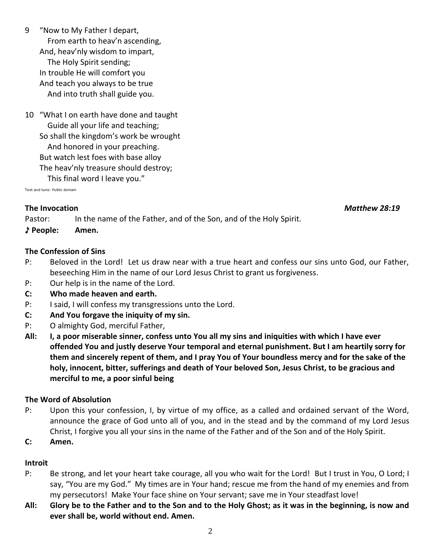9 "Now to My Father I depart, From earth to heav'n ascending, And, heav'nly wisdom to impart, The Holy Spirit sending; In trouble He will comfort you And teach you always to be true And into truth shall guide you.

10 "What I on earth have done and taught Guide all your life and teaching; So shall the kingdom's work be wrought And honored in your preaching. But watch lest foes with base alloy The heav'nly treasure should destroy; This final word I leave you."

Text and tune: Public domain

### **The Invocation** *Matthew 28:19*

Pastor: In the name of the Father, and of the Son, and of the Holy Spirit.

♪ **People: Amen.**

## **The Confession of Sins**

- P: Beloved in the Lord! Let us draw near with a true heart and confess our sins unto God, our Father, beseeching Him in the name of our Lord Jesus Christ to grant us forgiveness.
- P: Our help is in the name of the Lord.
- **C: Who made heaven and earth.**
- P: I said, I will confess my transgressions unto the Lord.
- **C: And You forgave the iniquity of my sin.**
- P: O almighty God, merciful Father,
- **All: I, a poor miserable sinner, confess unto You all my sins and iniquities with which I have ever offended You and justly deserve Your temporal and eternal punishment. But I am heartily sorry for them and sincerely repent of them, and I pray You of Your boundless mercy and for the sake of the holy, innocent, bitter, sufferings and death of Your beloved Son, Jesus Christ, to be gracious and merciful to me, a poor sinful being**

### **The Word of Absolution**

- P: Upon this your confession, I, by virtue of my office, as a called and ordained servant of the Word, announce the grace of God unto all of you, and in the stead and by the command of my Lord Jesus Christ, I forgive you all your sins in the name of the Father and of the Son and of the Holy Spirit.
- **C: Amen.**

### **Introit**

- P: Be strong, and let your heart take courage, all you who wait for the Lord! But I trust in You, O Lord; I say, "You are my God." My times are in Your hand; rescue me from the hand of my enemies and from my persecutors! Make Your face shine on Your servant; save me in Your steadfast love!
- **All: Glory be to the Father and to the Son and to the Holy Ghost; as it was in the beginning, is now and ever shall be, world without end. Amen.**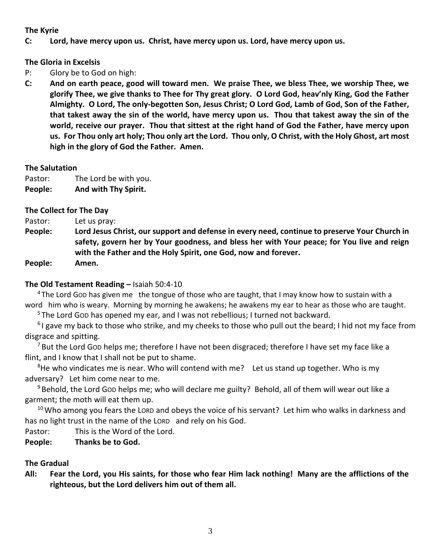### **The Kyrie**

### **C: Lord, have mercy upon us. Christ, have mercy upon us. Lord, have mercy upon us.**

**The Gloria in Excelsis** 

- P: Glory be to God on high:
- **C: And on earth peace, good will toward men. We praise Thee, we bless Thee, we worship Thee, we glorify Thee, we give thanks to Thee for Thy great glory. O Lord God, heav'nly King, God the Father Almighty. O Lord, The only-begotten Son, Jesus Christ; O Lord God, Lamb of God, Son of the Father, that takest away the sin of the world, have mercy upon us. Thou that takest away the sin of the world, receive our prayer. Thou that sittest at the right hand of God the Father, have mercy upon us. For Thou only art holy; Thou only art the Lord. Thou only, O Christ, with the Holy Ghost, art most high in the glory of God the Father. Amen.**

### **The Salutation**

Pastor: The Lord be with you. **People: And with Thy Spirit.**

### **The Collect for The Day**

Pastor: Let us pray:

**People: Lord Jesus Christ, our support and defense in every need, continue to preserve Your Church in safety, govern her by Your goodness, and bless her with Your peace; for You live and reign with the Father and the Holy Spirit, one God, now and forever.**

**People: Amen.**

### **The Old Testament Reading –** Isaiah 50:4-10

<sup>4</sup> The Lord Gop has given me the tongue of those who are taught, that I may know how to sustain with a word him who is weary. Morning by morning he awakens; he awakens my ear to hear as those who are taught.

<sup>5</sup> The Lord Gob has opened my ear, and I was not rebellious; I turned not backward.

<sup>6</sup>I gave my back to those who strike, and my cheeks to those who pull out the beard; I hid not my face from disgrace and spitting.

<sup>7</sup> But the Lord Gop helps me; therefore I have not been disgraced; therefore I have set my face like a flint, and I know that I shall not be put to shame.

 $8$ He who vindicates me is near. Who will contend with me? Let us stand up together. Who is my adversary? Let him come near to me.

 $9$  Behold, the Lord Gop helps me; who will declare me guilty? Behold, all of them will wear out like a garment; the moth will eat them up.

 $10$  Who among you fears the LORD and obeys the voice of his servant? Let him who walks in darkness and has no light trust in the name of the LORD and rely on his God.

Pastor: This is the Word of the Lord.

**People: Thanks be to God.**

### **The Gradual**

**All: Fear the Lord, you His saints, for those who fear Him lack nothing! Many are the afflictions of the righteous, but the Lord delivers him out of them all.**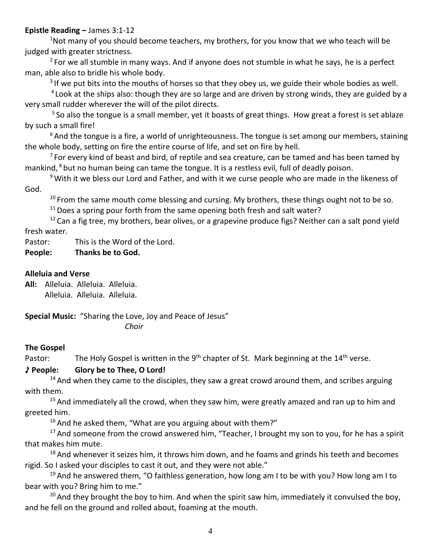### **Epistle Reading –** James 3:1-12

 $1$ Not many of you should become teachers, my brothers, for you know that we who teach will be judged with greater strictness.

 $2$  For we all stumble in many ways. And if anyone does not stumble in what he says, he is a perfect man, able also to bridle his whole body.

 $3$  If we put bits into the mouths of horses so that they obey us, we guide their whole bodies as well.

<sup>4</sup> Look at the ships also: though they are so large and are driven by strong winds, they are guided by a very small rudder wherever the will of the pilot directs.

<sup>5</sup> So also the tongue is a small member, yet it boasts of great things. How great a forest is set ablaze by such a small fire!

 $6$ And the tongue is a fire, a world of unrighteousness. The tongue is set among our members, staining the whole body, setting on fire the entire course of life, and set on fire by hell.

 $7$  For every kind of beast and bird, of reptile and sea creature, can be tamed and has been tamed by mankind, <sup>8</sup> but no human being can tame the tongue. It is a restless evil, full of deadly poison.

<sup>9</sup> With it we bless our Lord and Father, and with it we curse people who are made in the likeness of God.

 $10$  From the same mouth come blessing and cursing. My brothers, these things ought not to be so.

 $11$  Does a spring pour forth from the same opening both fresh and salt water?

 $12$  Can a fig tree, my brothers, bear olives, or a grapevine produce figs? Neither can a salt pond yield fresh water.

Pastor: This is the Word of the Lord.

## **People: Thanks be to God.**

### **Alleluia and Verse**

**All:** Alleluia. Alleluia. Alleluia. Alleluia. Alleluia. Alleluia.

**Special Music:** "Sharing the Love, Joy and Peace of Jesus" *Choir* 

### **The Gospel**

Pastor: The Holy Gospel is written in the  $9<sup>th</sup>$  chapter of St. Mark beginning at the 14<sup>th</sup> verse.

### ♪ **People: Glory be to Thee, O Lord!**

 $14$  And when they came to the disciples, they saw a great crowd around them, and scribes arguing with them.

 $15$  And immediately all the crowd, when they saw him, were greatly amazed and ran up to him and greeted him.

 $16$  And he asked them, "What are you arguing about with them?"

 $17$  And someone from the crowd answered him, "Teacher, I brought my son to you, for he has a spirit that makes him mute.

 $18$  And whenever it seizes him, it throws him down, and he foams and grinds his teeth and becomes rigid. So I asked your disciples to cast it out, and they were not able."

 $19$  And he answered them, "O faithless generation, how long am I to be with you? How long am I to bear with you? Bring him to me."

 $20$  And they brought the boy to him. And when the spirit saw him, immediately it convulsed the boy, and he fell on the ground and rolled about, foaming at the mouth.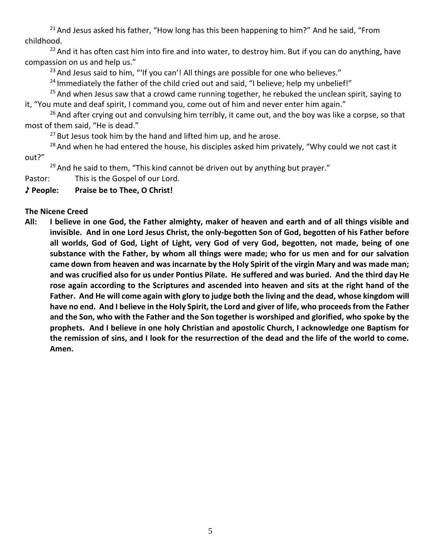$21$  And Jesus asked his father, "How long has this been happening to him?" And he said, "From childhood.

 $22$  And it has often cast him into fire and into water, to destroy him. But if you can do anything, have compassion on us and help us."

 $23$  And Jesus said to him, "'If you can'! All things are possible for one who believes."

 $24$  Immediately the father of the child cried out and said, "I believe; help my unbelief!"

 $25$  And when Jesus saw that a crowd came running together, he rebuked the unclean spirit, saying to it, "You mute and deaf spirit, I command you, come out of him and never enter him again."

 $26$  And after crying out and convulsing him terribly, it came out, and the boy was like a corpse, so that most of them said, "He is dead."

 $27$  But Jesus took him by the hand and lifted him up, and he arose.

 $28$  And when he had entered the house, his disciples asked him privately, "Why could we not cast it out?"

 $29$  And he said to them, "This kind cannot be driven out by anything but prayer."

Pastor: This is the Gospel of our Lord.

♪ **People: Praise be to Thee, O Christ!**

# **The Nicene Creed**

**All: I believe in one God, the Father almighty, maker of heaven and earth and of all things visible and invisible. And in one Lord Jesus Christ, the only-begotten Son of God, begotten of his Father before all worlds, God of God, Light of Light, very God of very God, begotten, not made, being of one substance with the Father, by whom all things were made; who for us men and for our salvation came down from heaven and was incarnate by the Holy Spirit of the virgin Mary and was made man; and was crucified also for us under Pontius Pilate. He suffered and was buried. And the third day He rose again according to the Scriptures and ascended into heaven and sits at the right hand of the Father. And He will come again with glory to judge both the living and the dead, whose kingdom will have no end. And I believe in the Holy Spirit, the Lord and giver of life, who proceeds from the Father and the Son, who with the Father and the Son together is worshiped and glorified, who spoke by the prophets. And I believe in one holy Christian and apostolic Church, I acknowledge one Baptism for the remission of sins, and I look for the resurrection of the dead and the life of the world to come. Amen.**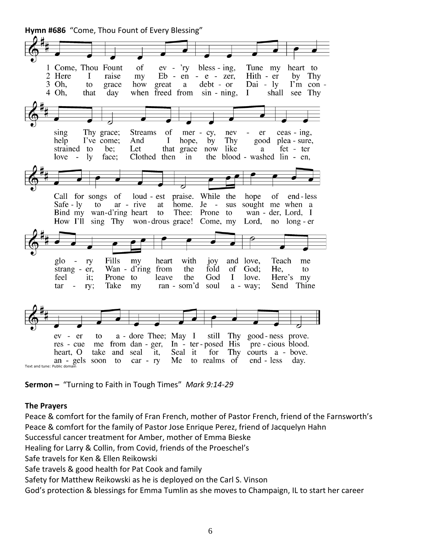**Hymn #686** "Come, Thou Fount of Every Blessing" of 1 Come, Thou Fount  $ev - *ry*$ bless - ing, Tune my heart to 2 Here I raise my  $Eb - en - e - zer$ , Hith - er by Thy I'm con -3 Oh, how  $debt - or$  $Dai - ly$ to grace great a 4 Oh, that day when freed from sin - ning.  $\bf{I}$ shall see Thy sing Thy grace; **Streams** of mer - cy, nev er  $ceas - ing$ , help I've come; And  $\bf{I}$ hope, by Thy good plea - sure, strained to be; Let that grace now like fet - ter  $\rm{a}$ the blood - washed lin - en,  $love - ly$ face; Clothed then  $in$ praise. While the Call for songs of loud - est of hope end - less sus sought me when a Safe - ly to ar - rive at home. Je -Bind my wan-d'ring heart to Thee: Prone to wan - der, Lord, I How I'll sing Thy won-drous grace! Come, my Lord, no long - er Fills with Teach my heart and love, me glo ry  $10<sub>Y</sub>$ strang -  $er$ , Wan - d'ring from the fold of God: He, to feel it; Prone to leave the God  $\bf I$ love. Here's my ran - som'd Send Thine tar ry; Take my soul  $a - way;$  $\overline{\phantom{a}}$ ev - er a - dore Thee; May I still Thy good-ness prove. to In - ter-posed His res - cue me from dan - ger, pre - cious blood. heart. O take and seal Seal it for Thy courts a - bove. it, an - gels soon to  $car - rv$ Me to realms of end - less day. Text and tune: Public doma

**Sermon –** "Turning to Faith in Tough Times" *Mark 9:14-29*

### **The Prayers**

Peace & comfort for the family of Fran French, mother of Pastor French, friend of the Farnsworth's Peace & comfort for the family of Pastor Jose Enrique Perez, friend of Jacquelyn Hahn Successful cancer treatment for Amber, mother of Emma Bieske Healing for Larry & Collin, from Covid, friends of the Proeschel's Safe travels for Ken & Ellen Reikowski Safe travels & good health for Pat Cook and family Safety for Matthew Reikowski as he is deployed on the Carl S. Vinson God's protection & blessings for Emma Tumlin as she moves to Champaign, IL to start her career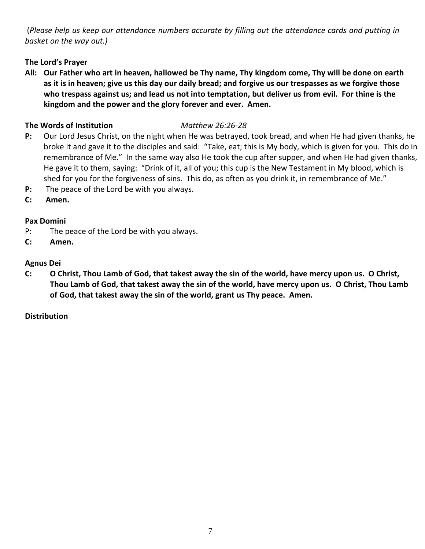(*Please help us keep our attendance numbers accurate by filling out the attendance cards and putting in basket on the way out.)*

# **The Lord's Prayer**

**All: Our Father who art in heaven, hallowed be Thy name, Thy kingdom come, Thy will be done on earth as it is in heaven; give us this day our daily bread; and forgive us our trespasses as we forgive those who trespass against us; and lead us not into temptation, but deliver us from evil. For thine is the kingdom and the power and the glory forever and ever. Amen.**

## **The Words of Institution** *Matthew 26:26-28*

- **P:** Our Lord Jesus Christ, on the night when He was betrayed, took bread, and when He had given thanks, he broke it and gave it to the disciples and said: "Take, eat; this is My body, which is given for you. This do in remembrance of Me." In the same way also He took the cup after supper, and when He had given thanks, He gave it to them, saying: "Drink of it, all of you; this cup is the New Testament in My blood, which is shed for you for the forgiveness of sins. This do, as often as you drink it, in remembrance of Me."
- **P:** The peace of the Lord be with you always.
- **C: Amen.**

# **Pax Domini**

- P: The peace of the Lord be with you always.
- **C: Amen.**

## **Agnus Dei**

**C: O Christ, Thou Lamb of God, that takest away the sin of the world, have mercy upon us. O Christ, Thou Lamb of God, that takest away the sin of the world, have mercy upon us. O Christ, Thou Lamb of God, that takest away the sin of the world, grant us Thy peace. Amen.**

# **Distribution**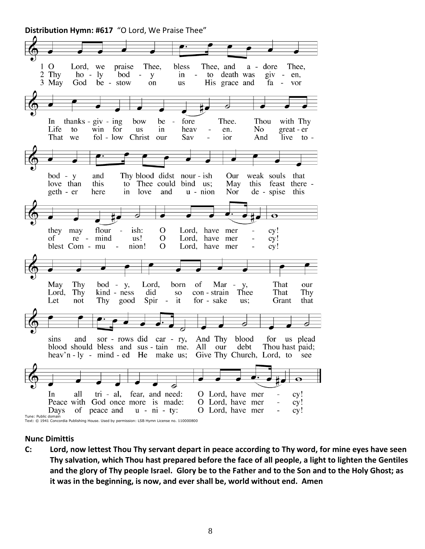**Distribution Hymn: #617** "O Lord, We Praise Thee"

 $1\ 0$ Thee. bless Thee, and Lord, we praise  $a$ dore Thee. 2 Thy  $ho - ly$ bod  $in$ to death was  $giv - en$ , y  $\overline{\phantom{a}}$ 3 May God be - stow His grace and on **us** fa - vor In thanks -  $giv - ing$ bow be fore Thee. Thou with Thy Life to win for us in heav en. No great - er That we  $fol - low$ Christ our Sav ior And live to bod - y Thy blood didst nour - ish and Our weak souls that love than this to Thee could bind us; May this feast there love  $u$  - nion de - spise this geth - er here in and Nor  $\overline{\mathbf{o}}$  $\Omega$ ish: cy! they may flour Lord, have mer  $\overline{a}$ of re mind us!  $\Omega$ Lord, have mer  $\frac{1}{2}$ cy! blest Com - mu nion!  $\Omega$ Lord, have mer cy!  $\overline{a}$ May Thy  $bod - y$ , Lord, born of That Mar **y**, our kind - ness Thee Lord, Thy did  ${\bf SO}$ con - strain That Thy for - sake Let not Thy good Spir  $\sim$ it us; Grant that sor - rows did car - ry, And Thy blood sins and for us plead blood should bless and sus - tain me. All debt Thou hast paid; our Give Thy Church, Lord, to see heav'n  $-1y$  - mind  $-ed$  He make us;  $\overline{\mathbf{o}}$ ठ In all tri - al, fear, and need: O Lord, have mer cy! Peace with God once more is made: O Lord, have mer cy! O Lord, have mer Days of peace and  $u - ni - ty$ : cy! Tune: Public domain Text: © 1941 Concordia Publishing House. Used by permission: LSB Hymn License no. 110000800

### **Nunc Dimittis**

**C: Lord, now lettest Thou Thy servant depart in peace according to Thy word, for mine eyes have seen Thy salvation, which Thou hast prepared before the face of all people, a light to lighten the Gentiles and the glory of Thy people Israel. Glory be to the Father and to the Son and to the Holy Ghost; as it was in the beginning, is now, and ever shall be, world without end. Amen**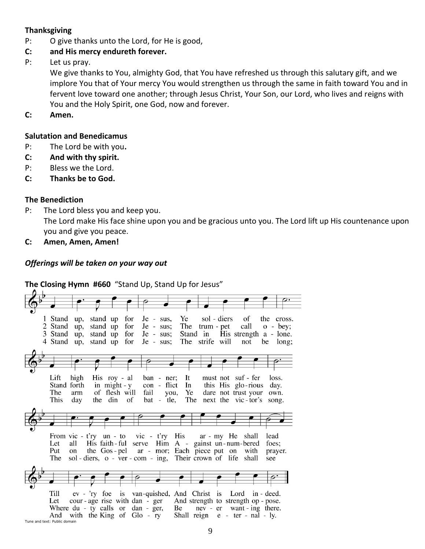### **Thanksgiving**

- P: O give thanks unto the Lord, for He is good,
- **C: and His mercy endureth forever.**
- P: Let us pray.

We give thanks to You, almighty God, that You have refreshed us through this salutary gift, and we implore You that of Your mercy You would strengthen us through the same in faith toward You and in fervent love toward one another; through Jesus Christ, Your Son, our Lord, who lives and reigns with You and the Holy Spirit, one God, now and forever.

**C: Amen.**

### **Salutation and Benedicamus**

- P: The Lord be with you**.**
- **C: And with thy spirit.**
- P: Bless we the Lord.
- **C: Thanks be to God.**

## **The Benediction**

- P: The Lord bless you and keep you. The Lord make His face shine upon you and be gracious unto you. The Lord lift up His countenance upon you and give you peace.
- **C: Amen, Amen, Amen!**

## *Offerings will be taken on your way out*

**The Closing Hymn #660** "Stand Up, Stand Up for Jesus"

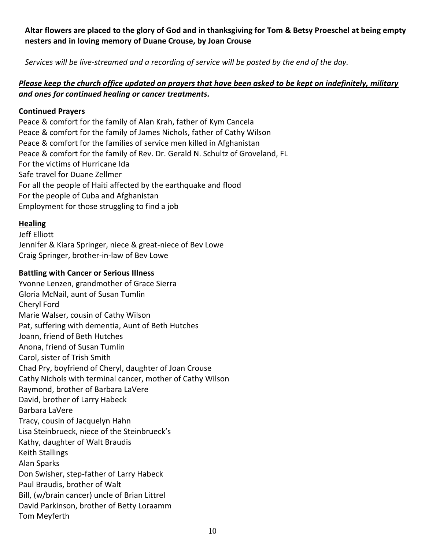## **Altar flowers are placed to the glory of God and in thanksgiving for Tom & Betsy Proeschel at being empty nesters and in loving memory of Duane Crouse, by Joan Crouse**

*Services will be live-streamed and a recording of service will be posted by the end of the day.* 

## *Please keep the church office updated on prayers that have been asked to be kept on indefinitely, military and ones for continued healing or cancer treatments.*

### **Continued Prayers**

Peace & comfort for the family of Alan Krah, father of Kym Cancela Peace & comfort for the family of James Nichols, father of Cathy Wilson Peace & comfort for the families of service men killed in Afghanistan Peace & comfort for the family of Rev. Dr. Gerald N. Schultz of Groveland, FL For the victims of Hurricane Ida Safe travel for Duane Zellmer For all the people of Haiti affected by the earthquake and flood For the people of Cuba and Afghanistan Employment for those struggling to find a job

## **Healing**

Jeff Elliott Jennifer & Kiara Springer, niece & great-niece of Bev Lowe Craig Springer, brother-in-law of Bev Lowe

## **Battling with Cancer or Serious Illness**

Yvonne Lenzen, grandmother of Grace Sierra Gloria McNail, aunt of Susan Tumlin Cheryl Ford Marie Walser, cousin of Cathy Wilson Pat, suffering with dementia, Aunt of Beth Hutches Joann, friend of Beth Hutches Anona, friend of Susan Tumlin Carol, sister of Trish Smith Chad Pry, boyfriend of Cheryl, daughter of Joan Crouse Cathy Nichols with terminal cancer, mother of Cathy Wilson Raymond, brother of Barbara LaVere David, brother of Larry Habeck Barbara LaVere Tracy, cousin of Jacquelyn Hahn Lisa Steinbrueck, niece of the Steinbrueck's Kathy, daughter of Walt Braudis Keith Stallings Alan Sparks Don Swisher, step-father of Larry Habeck Paul Braudis, brother of Walt Bill, (w/brain cancer) uncle of Brian Littrel David Parkinson, brother of Betty Loraamm Tom Meyferth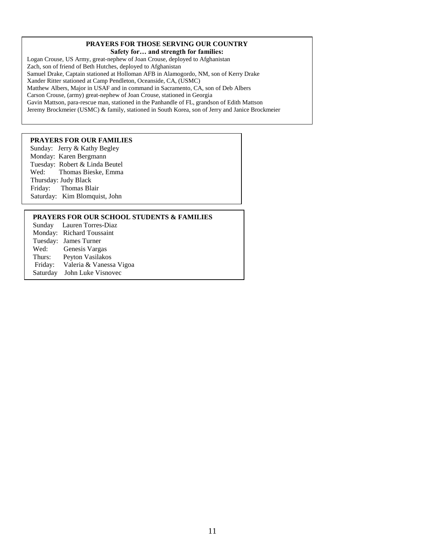### **PRAYERS FOR THOSE SERVING OUR COUNTRY**

**Safety for… and strength for families:**

Logan Crouse, US Army, great-nephew of Joan Crouse, deployed to Afghanistan Zach, son of friend of Beth Hutches, deployed to Afghanistan Samuel Drake, Captain stationed at Holloman AFB in Alamogordo, NM, son of Kerry Drake Xander Ritter stationed at Camp Pendleton, Oceanside, CA, (USMC) Matthew Albers, Major in USAF and in command in Sacramento, CA, son of Deb Albers Carson Crouse, (army) great-nephew of Joan Crouse, stationed in Georgia Gavin Mattson, para-rescue man, stationed in the Panhandle of FL, grandson of Edith Mattson Jeremy Brockmeier (USMC) & family, stationed in South Korea, son of Jerry and Janice Brockmeier

### **PRAYERS FOR OUR FAMILIES**

Sunday: Jerry & Kathy Begley Monday: Karen Bergmann Tuesday: Robert & Linda Beutel Wed: Thomas Bieske, Emma Thursday: Judy Black Friday: Thomas Blair Saturday: Kim Blomquist, John

### **PRAYERS FOR OUR SCHOOL STUDENTS & FAMILIES**

|          | Sunday Lauren Torres-Diaz |
|----------|---------------------------|
|          | Monday: Richard Toussaint |
|          | Tuesday: James Turner     |
| Wed:     | Genesis Vargas            |
| Thurs:   | Peyton Vasilakos          |
| Friday:  | Valeria & Vanessa Vigoa   |
| Saturday | John Luke Visnovec        |